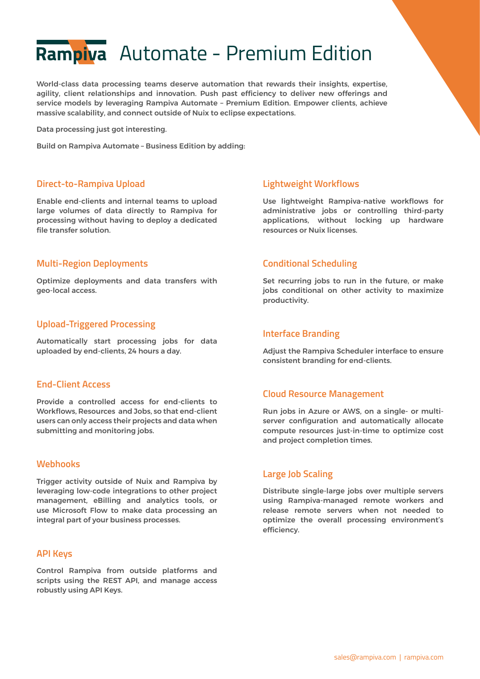# Rampiva Automate - Premium Edition

World-class data processing teams deserve automation that rewards their insights, expertise, agility, client relationships and innovation. Push past efficiency to deliver new offerings and service models by leveraging Rampiva Automate – Premium Edition. Empower clients, achieve massive scalability, and connect outside of Nuix to eclipse expectations.

Data processing just got interesting.

Build on Rampiva Automate – Business Edition by adding:

#### **Direct-to-Rampiva Upload**

Enable end-clients and internal teams to upload large volumes of data directly to Rampiva for processing without having to deploy a dedicated file transfer solution.

#### **Multi-Region Deployments**

Optimize deployments and data transfers with geo-local access.

#### **Upload-Triggered Processing**

Automatically start processing jobs for data uploaded by end-clients, 24 hours a day.

#### **End-Client Access**

Provide a controlled access for end-clients to Workflows, Resources and Jobs, so that end-client users can only access their projects and data when submitting and monitoring jobs.

#### **Webhooks**

Trigger activity outside of Nuix and Rampiva by leveraging low-code integrations to other project management, eBilling and analytics tools, or use Microsoft Flow to make data processing an integral part of your business processes.

#### **API Keys**

Control Rampiva from outside platforms and scripts using the REST API, and manage access robustly using API Keys.

#### **Lightweight Workflows**

Use lightweight Rampiva-native workflows for administrative jobs or controlling third-party applications, without locking up hardware resources or Nuix licenses.

#### **Conditional Scheduling**

Set recurring jobs to run in the future, or make jobs conditional on other activity to maximize productivity.

#### **Interface Branding**

Adjust the Rampiva Scheduler interface to ensure consistent branding for end-clients.

#### **Cloud Resource Management**

Run jobs in Azure or AWS, on a single- or multiserver configuration and automatically allocate compute resources just-in-time to optimize cost and project completion times.

#### **Large Job Scaling**

Distribute single-large jobs over multiple servers using Rampiva-managed remote workers and release remote servers when not needed to optimize the overall processing environment's efficiency.